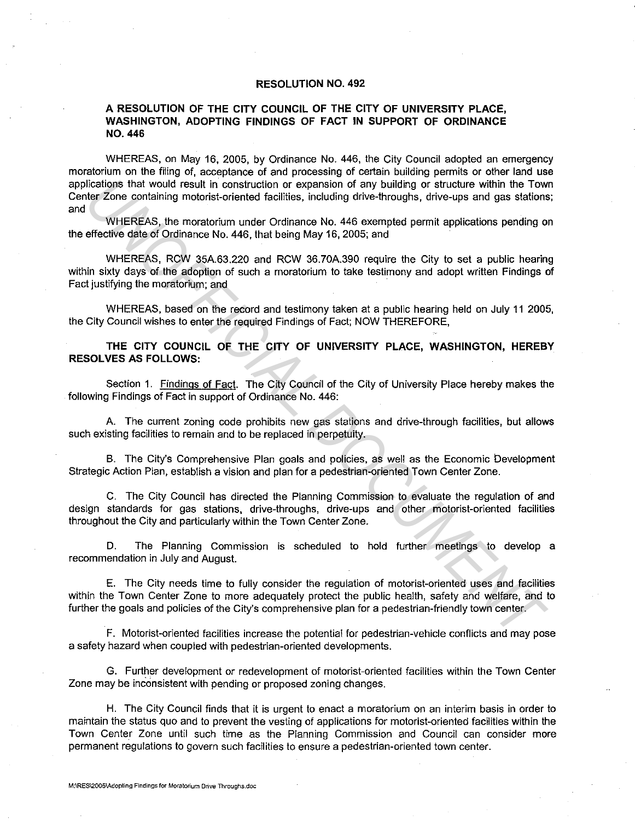## **RESOLUTION NO. 492**

## **A RESOLUTION OF THE CITY COUNCIL OF THE CITY OF UNIVERSITY PLACE, WASHINGTON, ADOPTING FINDINGS OF FACT IN SUPPORT OF ORDINANCE NO. 446**

WHEREAS, on May 16, 2005, by Ordinance No. 446, the City Council adopted an emergency moratorium on the filing of, acceptance of and processing of certain building permits or other land use applications that would result in construction or expansion of any building or structure within the Town Center Zone containing motorist-oriented facilities, including drive-throughs, drive-ups and gas stations; and ilications that would result in construction or expansion of any building of structure within the Tow<br>
UNEREAS, the moratorium under Ordinance No. 446 exempted permit applications pending<br>
WHEREAS, he moratorium under Ordi

WHEREAS, the moratorium under Ordinance No. 446 exempted permit applications pending on the effective date of Ordinance No. 446, that being May 16, 2005; and

WHEREAS, RCW 35A.63.220 and RCW 36.70A.390 require the City to set a public hearing within sixty days of the adoption of such a moratorium to take testimony and adopt written Findings of Fact justifying the moratorium; and

WHEREAS, based on the record and testimony taken at a public hearing held on July 11 2005. the City Council wishes to enter the required Findings of Fact; NOW THEREFORE,

**THE CITY COUNCIL OF THE CITY OF UNIVERSITY PLACE, WASHINGTON, HEREBY RESOLVES AS FOLLOWS:** 

Section 1. Findings of Fact. The City Council of the City of University Place hereby makes the following Findings of Fact in support of Ordinance No. 446:

A. The current zoning code prohibits new gas stations and drive-through facilities, but allows such existing facilities to remain and to be replaced in perpetuity.

B. The City's Comprehensive Plan goals and policies, as well as the Economic Development Strategic Action Plan, establish a vision and plan for a pedestrian-oriented Town Center Zone.

C. The City Council has directed the Planning Commission to evaluate the regulation of and design standards for gas stations, drive-throughs, drive-ups and other motorist-oriented facilities throughout the City and particularly within the Town Center Zone.

D. The Planning Commission is scheduled to hold further meetings to develop a recommendation in July and August.

E. The City needs time to fully consider the regulation of motorist-oriented uses and facilities within the Town Center Zone to more adequately protect the public health, safety and welfare, and to further the goals and policies of the City's comprehensive plan for a pedestrian-friendly town center.

F. Motorist-oriented facilities increase the potential for pedestrian-vehicle conflicts and may pose a safety hazard when coupled with pedestrian-oriented developments.

G. Further development or redevelopment of motorist-oriented facilities within the Town Center Zone may be inconsistent with pending or proposed zoning changes.

H. The City Council finds that it is urgent to enact a moratorium on an interim basis in order to maintain the status quo and to prevent the vesting of applications for motorist-oriented facilities within the Town Center Zone until such time as the Planning Commission and Council can consider more permanent regulations to govern such facilities to ensure a pedestrian-oriented town center.